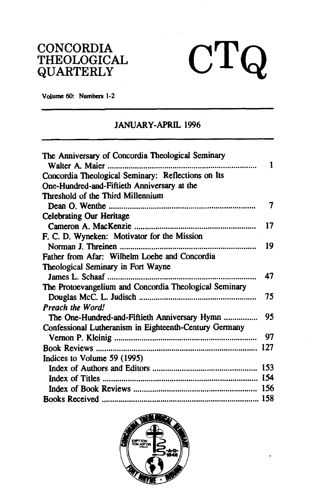## CONCORDIA THEOLOGICAL QUARTERLY

**Volume 60: Numbers 1-2** 

## JANUARY-APRIL 1996

 $CTQ$ 

| The Anniversary of Concordia Theological Seminary<br>Walter A. Maier<br> | 1   |
|--------------------------------------------------------------------------|-----|
| Concordia Theological Seminary: Reflections on Its                       |     |
| One-Hundred-and-Fiftieth Anniversary at the                              |     |
| Threshold of the Third Millennium                                        |     |
|                                                                          | 7   |
| <b>Celebrating Our Heritage</b>                                          |     |
|                                                                          | 17  |
| F. C. D. Wyneken: Motivator for the Mission                              |     |
|                                                                          | 19  |
| Father from Afar: Wilhelm Loehe and Concordia                            |     |
| Theological Seminary in Fort Wayne                                       |     |
|                                                                          | 47  |
| The Protoevangelium and Concordia Theological Seminary                   |     |
|                                                                          | 75  |
| <b>Preach the Word!</b>                                                  |     |
| The One-Hundred-and-Fiftieth Anniversary Hymn                            | 95  |
| Confessional Lutheranism in Eighteenth-Century Germany                   |     |
|                                                                          | 97  |
|                                                                          | 127 |
| Indices to Volume 59 (1995)                                              |     |
|                                                                          |     |
|                                                                          |     |
|                                                                          |     |
|                                                                          |     |
|                                                                          |     |

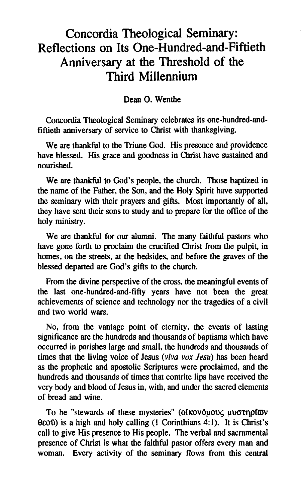# Concordia Theological Seminary: Reflections on Its One-Hundred-and-Fiftieth Anniversary at the Threshold of the Third Millennium

#### Dean **0.** Wenthe

Concordia Theological Seminary celebrates its one-hundred-andfiftieth anniversary of service to Christ with thanksgiving.

We are thankful to the Triune God. His presence and providence have blessed. His grace and goodness in Christ have sustained and nourished.

We are thankful to God's people, the church. Those baptized in the name of the Father, the Son, and the Holy Spirit have supported the seminary with their prayers and gifts. Most importantly of all, they have sent their sons to study and to prepare for the office of the holy ministry.

We are thankful for our alumni. The many faithful pastors who have gone forth to proclaim the crucified Christ from the pulpit, in homes, on the streets, at the bedsides, and before the graves of the blessed departed are God's gifts to the church.

From the divine perspective of the cross, the meaningful events of the last one-hundred-and-fifty years have not been the great achievements of science and technology nor the tragedies of a civil and two world wars.

No, from the vantage point of eternity, the events of lasting significance are the hundreds and thousands of baptisms which have occurred in parishes large and small, the hundreds and thousands of times that the living voice of Jesus (viva **vox Jew)** has been heard as the prophetic and apostolic Scriptures were proclaimed, and the hundreds and thousands of times that contrite lips have received the very body and blood of Jesus in, with, and under the sacred elements of bread and wine.

To be "stewards of these mysteries" (οίκονόμους μυστηρίων  $0.00$ ) is a high and holy calling (1 Corinthians 4:1). It is Christ's call to give His presence to His people. The verbal and sacramental presence of Christ is what the faithful pastor offers every man and woman. Every activity of the seminary flows from this central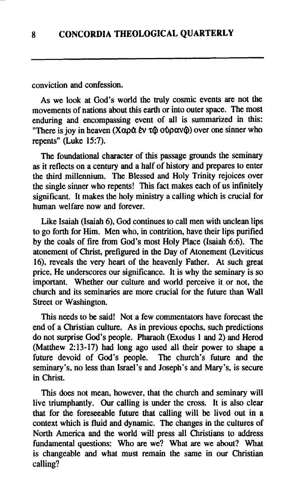conviction and confession.

As we look at God's world the truly cosmic events are not the movements of nations about this earth or into outer space. The most enduring and encompassing event of all is summarized in this: "There is joy in heaven *(Xαρά εν τ*ω ούρανω) over one sinner who repents" (Luke 15:7).

The foundational character of this passage grounds the seminary as it reflects on a century and a half of history and prepares to enter the third millennium. The Blessed and Holy Trinity rejoices over the single sinner who repents! This fact makes each of us infinitely significant. It makes the holy ministry a calling which is crucial for human welfare now and forever.

Like Isaiah (Isaiah 6), God continues to call men with unclean lips to go forth for Him. Men who, in contrition, have their lips purified by the coals of fire from God's most Holy Place (Isaiah 6:6). The atonement of Christ, prefigured in the Day of Atonement (Leviticus 16), reveals the very heart of the heavenly Father. At such great price, He underscores our significance. It is why the seminary is so important. Whether our culture and world perceive it or not, the church and its seminaries are more crucial for the future than Wall Street or Washington.

This needs to be said! Not a few commentators have forecast the end of a Christian culture. As in previous epochs, such predictions do not surprise God's people. Pharaoh (Exodus 1 and 2) and Herod (Matthew 2:13-17) had long ago used all their power to shape a future devoid of God's people. The church's future and the seminary's, no less than Israel's and Joseph's and Mary's, is secure in Christ.

This does not mean, however, that the church and seminary will live triumphantly. Our calling is under the cross. It is also clear that for the foreseeable future that calling will be lived out in a context which is fluid and dynamic. The changes in the cultures of North America and the world will press all Christians to address fundamental questions: Who are we? What are we about? What is changeable and what must remain the same in our Christian calling?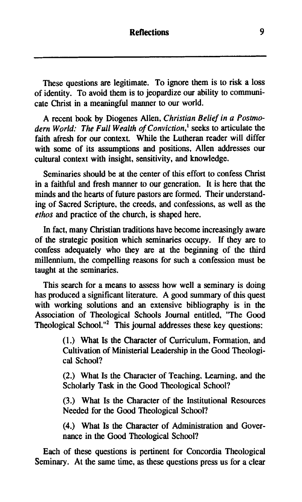These questions are legitimate. To ignore them is to risk a loss of identity. To avoid them is to jeopardize our ability to communicate Christ in a meaningful manner to our world.

A recent book by Diogenes Allen, Christian Belief in a Postmodern World: The Full Wealth of Conviction, $<sup>1</sup>$  seeks to articulate the</sup> faith afresh for our context. While the Lutheran reader will differ with some of its assumptions and positions, Allen addresses our cultural context with insight, sensitivity, and knowledge.

Seminaries should be at the center of this effort to confess Christ in a faithful and fresh manner to our generation. It is here that the minds and the hearts of future pastors are formed. Their understanding of Sacred Scripture, the creeds, and confessions, as well as the ethos and practice of the church, is shaped here.

In fact, many Christian traditions have become increasingly aware of the strategic position which seminaries occupy. If they are to confess adequately who they are at the beginning of the third millennium, the compelling reasons for such a confession must be taught at the seminaries.

This search for a means to assess how well a seminary is doing has produced a significant literature. A good summary of this quest with working solutions and an extensive bibliography is in the Association of Theological Schools Journal entitled, "The Good Theological School."<sup>2</sup> This journal addresses these key questions:

> (1.) What Is the Character of Curriculum, Formation, and Cultivation of Ministerial Leadership in the Good Theological School?

> (2.) What Is the Character of Teaching, Learning, and the Scholarly Task in the Good Theological School?

> (3.) What Is the Character of the Institutional Resources Needed for the Good Theological School?

> (4.) What Is the Character of Administration and Governance in the Good Theological School?

Each of these questions is pertinent for Concordia Theological Seminary. At the same time, as these questions press us for a clear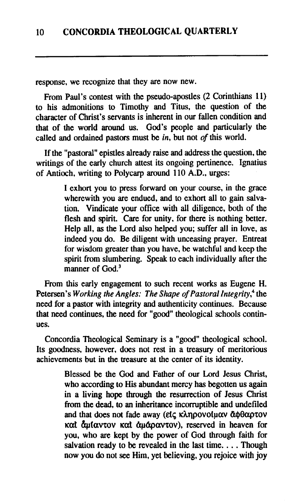response, we recognize that they are now new.

From Paul's contest with the pseudo-apostles (2 Corinthians 11) to his admonitions to Timothy and Titus, the question of the character of Christ's servants is inherent in our fallen condition and that of the world around us. God's people and particularly the called and ordained pastors must be  $in$ , but not  $of$  this world.

If the "pastoral" epistles already raise and address the question, the writings of the early church attest its ongoing pertinence. Ignatius of Antioch, writing to Polycarp around 110 A.D., urges:

> I exhort you to press forward on your course, in the grace wherewith you are endued, and to exhort all to gain salvation. Vindicate your office with all diligence, both of the flesh and spirit. Care for unity, for there is nothing better. Help all, as the Lord also helped you; suffer all in love, as indeed you do. Be diligent with unceasing prayer. Entreat for wisdom greater than you have, be watchful and keep the spirit from slumbering. Speak to each individually after the manner of God<sup>3</sup>

From this early engagement to such recent works as Eugene H. Petersen's Working the Angles: The Shape of Pastoral Integrity,<sup>4</sup> the need for a pastor with integrity and authenticity continues. Because that need continues, the need for "good" theological schools continues.

Concordia Theological Seminary is a "good" theological school. Its goodness, however, does not rest in a treasury of meritorious achievements but in the treasure at the center of its identity.

> Blessed be the God and Father of our Lord Jesus Christ, who according to His abundant mercy has begotten us again in a living hope through the resurrection of Jesus Christ from the dead, to an inheritance incorruptible and undefiled and that does not fade away (είς κληρονοίμαν άφθαρτον καt άμίαντον καt άμάραντον), reserved in heaven for you, who are kept by the power of God through faith for salvation ready to be revealed in the last time. . . . Though now you do not see Him, yet believing, you rejoice with joy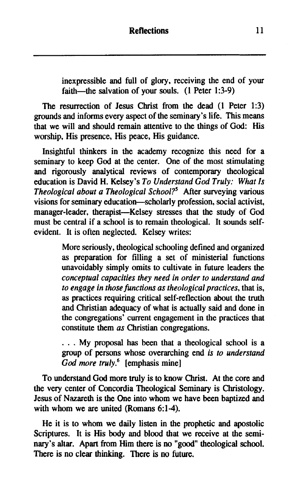inexpressible and full of glory, receiving the end of your faith-the salvation of your souls. (1 Peter 1:3-9)

The resurrection of Jesus Christ from the dead (1 Peter 1:3) grounds and informs every aspect of the seminary's life. This means that we will and should remain attentive to the things of God: His worship, His presence, His peace, His guidance.

Insightful thinkers in the academy recognize this need for a seminary to keep God at the center. One of the most stimulating and rigorously analytical reviews of contemporary theological education is David H. Kelsey's *To Understand God Truly: What Is Theological about a Theological School?'* After surveying various visions for seminary education-scholarly profession, social activist, manager-leader, therapist-Kelsey stresses that the study of God must be central if a school is to remain theological. It sounds selfevident. It is often neglected. Kelsey writes:

> More seriously, theological schooling defined and organized as preparation for filling a set of ministerial functions unavoidably simply omits to cultivate in future leaders the *conceptual capacities they need in order to understand and to engage in those functions as theological practices,* that is, as practices requiring critical self-reflection about the truth and Christian adequacy of what is actually said and done in the congregations' current engagement in the practices that constitute them *as* Christian congregations.

> . . . My proposal has been that a theological school is a group of persons whose overarching end *is to understand God more truly.6* [emphasis mine]

To understand God more truly is to know Christ. At the core and the very center of Concordia Theological Seminary is Christology. Jesus of Nazareth is the One into whom we have been baptized and with whom we are united (Romans 6:1-4).

He it is to whom we daily listen in the prophetic and apostolic Scriptures. It is His body and blood that we receive at the seminary's altar. Apart from Him there is no "good" theological school. There is no clear thinking. There is no future.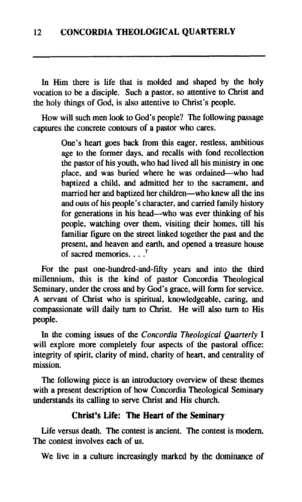In Him there is life that is molded and shaped by the holy vocation to be a disciple. Such a pastor, so attentive to Christ and the holy things of God, is also attentive to Christ's people.

How will such men look to God's people? The following passage captures the concrete contours of a pastor who cares.

> One's heart goes back from this eager, restless, ambitious age to the former days, and recalls with fond recollection the pastor of his youth, who had lived all his ministry in one place, and was buried where he was ordained—who had baptized a child, and admitted her to the sacrament, and married her and baptized her children—who knew all the ins and outs of his people's character, and carried family history for generations in his head—who was ever thinking of his people, watching over them, visiting their homes, till his familiar figure on the street linked together the past and the present, and heaven and earth, and opened a treasure house of sacred memories. . . .'

For the past one-hundred-and-fifty years and into the third millennium, this is the kind of pastor Concordia Theological Seminary, under the cross and by God's grace, will form for service. **A** servant of Christ who is spiritual, knowledgeable, caring, and compassionate will daily turn to Christ. He will also turn to His people.

In the coming issues of the *Concordia Theological Quarterly* I will explore more completely four aspects of the pastoral office: integrity of spirit, clarity of mind, charity of heart, and centrality of mission.

The following piece is an introductory overview of these themes with a present description of how Concordia Theological Seminary understands its calling to serve Christ and His church.

## **Christ's Life: The Heart of the Seminary**

Life versus death. The contest is ancient. The contest is modem. The contest involves each of us.

We live in a culture increasingly marked by the dominance of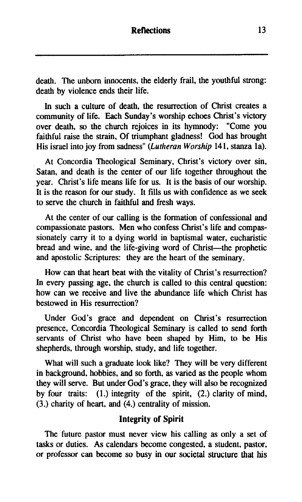death. The unborn innocents, the elderly frail, the youthful strong: death by violence ends their life.

In such a culture of death, the resurrection of Christ creates a community of life. Each Sunday's worship echoes Christ's victory over death, so the church rejoices in its hymnody: "Come you faithful raise the strain, Of triumphant gladness! God has brought His israel into joy from sadness" **(Lutheran** Worship 141, stanza la).

At Concordia Theological Seminary, Christ's victory over sin, Satan, and death is the center of our life together throughout the year. Christ's life means life for us. It is the basis of our worship. It is the reason for our study. It fills us with confidence as we seek to serve the church in faithful and fresh ways.

At the center of our calling is the formation of confessional and compassionate pastors. Men who confess Christ's life and compassionately carry it to a dying world in baptismal water, eucharistic bread and wine, and the life-giving word of Christ-the prophetic and apostolic Scriptures: they are the heart of the seminary.

How can that heart beat with the vitality of Christ's resurrection? In every passing age, the church is called to this central question: how can we receive and live the abundance life which Christ has bestowed in His resurrection?

Under God's grace and dependent on Christ's resurrection presence, Concordia Theological Seminary is called to send forth servants of Christ who have been shaped by Him, to be His shepherds, through worship, study, and life together.

What will such a graduate look like? They will be very different in background, hobbies, and so forth, as varied as the people whom they will serve. But under God's grace, they will also be recognized by four traits: (1.) integrity of the spirit, (2.) clarity of mind, (3.) charity of heart, and (4.) centrality of mission.

## **Integrity of Spirit**

The future pastor must never view his calling as only a set of tasks or duties. As calendars become congested, a student, pastor, or professor can become so busy in our societal structure that his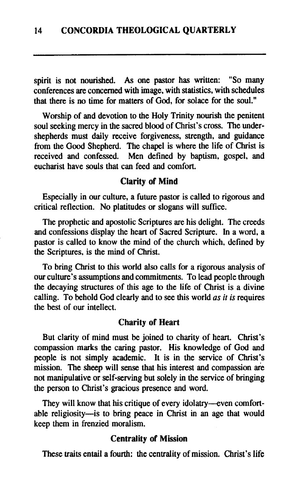spirit is not nourished. As one pastor has written: "So many conferences are concerned with image, with statistics, with schedules that there is no time for matters of God, for solace for the soul."

Worship of and devotion to the Holy Trinity nourish the penitent soul seeking mercy in the sacred blood of Christ's cross. The undershepherds must daily receive forgiveness, strength, and guidance from the Good Shepherd. The chapel is where the life of Christ is received and confessed. Men defined by baptism, gospel, and eucharist have souls that can feed and comfort.

#### Clarity **of** Mind

Especially in our culture, a future pastor is called to rigorous and critical reflection. No platitudes or slogans will suffice.

The prophetic and apostolic Scriptures are his delight. The creeds and confessions display the heart of Sacred Scripture. In a word, a pastor is called to know the mind of the church which, defined by the Scriptures, is the mind of Christ.

To bring Christ to this world also calls for a rigorous analysis of our culture's assumptions and commitments. To lead people through the decaying structures of this age to the life of Christ is a divine calling. To behold God clearly and to see this world *as it is requires* the best of our intellect.

#### Charity **of** Heart

But clarity of mind must be joined to charity of heart. Christ's compassion marks the caring pastor. His knowledge of God and people is not simply academic. It is in the service of Christ's mission. The sheep will sense that his interest and compassion are not manipulative or self-serving but solely in the service of bringing the person to Christ's gracious presence and word.

They will know that his critique of every idolatry-even comfortable religiosity-is to bring peace in Christ in an age that would keep them in frenzied moralism.

## Centrality **of** Mission

These traits entail a fourth: the centrality of mission. Christ's life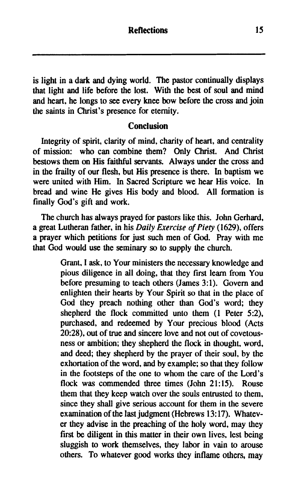is light in a dark and dying world. The pastor continually displays that light and life before the lost. With the best of soul and mind and heart, he longs to see every knee bow before the cross and join the saints in Christ's presence for eternity.

#### **Conclusion**

Integrity of spirit, clarity of mind, charity of heart, and centrality of mission: who can combine them? Only Christ. And Christ bestows them on His faithful servants. Always under the cross and in the frailty of our flesh, but His presence is there. In baptism we were united with Him. In Sacred Scripture we hear His voice. In bread and wine He gives His body and blood. All formation is finally God's gift and work.

The church has always prayed for pastors like this. John Gerhard, a great Lutheran father, in his *Daily Exercise* of *Piety* (1629). offers a prayer which petitions for just such men of God. Pray with me that God would use the seminary so to supply the church.

> Grant, I ask, to Your ministers the necessary knowledge and pious diligence in all doing, that they first learn from You before presuming to teach others (James 3:l). Govern and enlighten their hearts by Your Spirit so that in the place of God they preach nothing other than God's word; they shepherd the flock committed unto them (1 Peter 5:2), purchased, and redeemed by Your precious blood (Acts 20:28), out of true and sincere love and not out of covetousness or ambition; they shepherd the flock in thought, word, and deed; they shepherd by the prayer of their soul, by the exhortation of the word, and by example; so that they follow in the footsteps of the one to whom the care of the Lord's flock was commended three times (John 21:15). Rouse them that they keep watch over the souls entrusted to them, since they shall give serious account for them in the severe examination of the last judgment (Hebrews 13:17). Whatever they advise in the preaching of the holy word, may they first be diligent in this matter in their own lives, lest being sluggish to work themselves, they labor in vain to arouse others. To whatever good works they inflame others, may